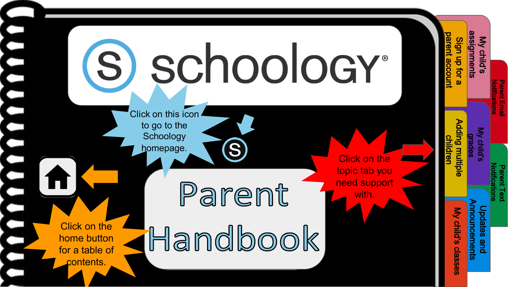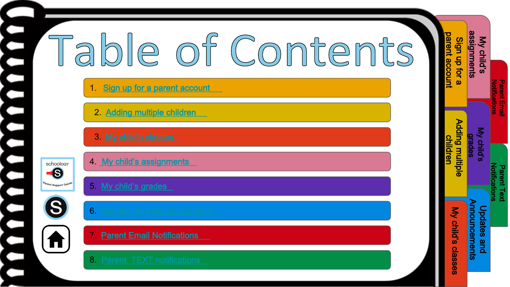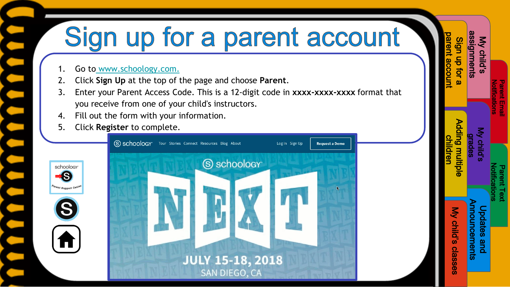# <span id="page-2-0"></span>Sign up for a parent account

Sign up for a [parent account](#page-2-0)

My child's [assignments](#page-5-0)

**ssignments** Sign up for

> Notifications [Parent Email](#page-8-0)

ent Emai

[Notifications](#page-9-0) Parent Text

[My child's](#page-6-0) grades

[Adding multiple](#page-3-0)  children

ding multip

[My child's classes](#page-4-0)

My child's classes

[Updates and](#page-7-0)  Announcements

and

pdates

nouncements

- Go to [www.schoology.com.](https://www.schoology.com/)
- 2. Click **Sign Up** at the top of the page and choose **Parent**.
- 3. Enter your Parent Access Code. This is a 12-digit code in **xxxx-xxxx-xxxx** format that you receive from one of your child's instructors.
- 4. Fill out the form with your information.
- 5. Click **Register** to complete.

**S** 

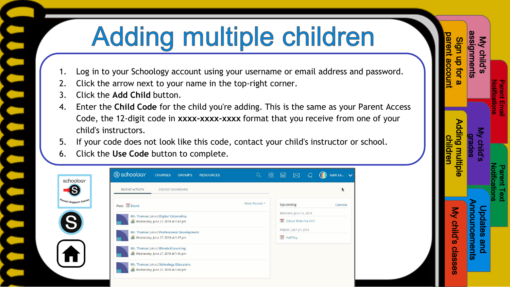# **Adding multiple children**

- <span id="page-3-0"></span>1. Log in to your Schoology account using your username or email address and password.
- 2. Click the arrow next to your name in the top-right corner.
- 3. Click the **Add Child** button.
- 4. Enter the **Child Code** for the child you're adding. This is the same as your Parent Access Code, the 12-digit code in **xxxx-xxxx-xxxx** format that you receive from one of your child's instructors.
- 5. If your code does not look like this code, contact your child's instructor or school.
- 6. Click the **Use Code** button to complete.

| S schoology<br><b>COURSES</b><br><b>GROUPS</b><br><b>RESOURCES</b> | Q             |             | $\boxtimes$               | € | Gale Lo V |
|--------------------------------------------------------------------|---------------|-------------|---------------------------|---|-----------|
| RECENT ACTIVITY<br>COURSE DASHBOARD                                |               |             |                           |   | ×         |
| Post: 12 Event                                                     | Most Recent * | Upcoming    |                           |   | Calendar  |
| Mr. Thomas joined Digital Citizenship.                             |               |             | MONDAY, JULY 16, 2018     |   |           |
| Wednesday, June 27, 2018 at 1:47 pm                                |               |             | 16 School Wide Fire Drill |   |           |
| Mr. Thomas joined Professional Development.                        |               |             | FRIDAY, JULY 27, 2018     |   |           |
| Wednesday, June 27, 2018 at 1:47 pm                                |               | 27 Half Day |                           |   |           |
| Mr. Thomas joined Blended Learning.                                |               |             |                           |   |           |
| Wednesday, June 27, 2018 at 1:46 pm                                |               |             |                           |   |           |
| Mr. Thomas joined Schoology Educators.                             |               |             |                           |   |           |
| Wednesday, June 27, 2018 at 1:46 pm                                |               |             |                           |   |           |

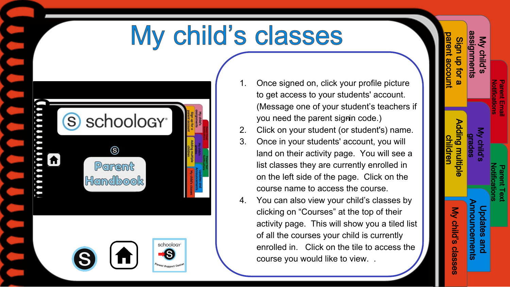#### My child's classes

<span id="page-4-0"></span>

| mmmmm<br>A | S schoology <sup>®</sup> | ©<br>Parent<br><b>Handbook</b> |                                                 | assignments<br>arent account<br>Sign up for a<br>My child's<br>Adding multiple<br>chilldren<br><b>AN GHIN</b><br>My child's classes<br><b>DOSCITES GITCO</b><br><b>Iduncements</b> |
|------------|--------------------------|--------------------------------|-------------------------------------------------|------------------------------------------------------------------------------------------------------------------------------------------------------------------------------------|
|            | 8                        | $\bigwedge$                    | schoology <sup>-</sup><br>Parent Support Center |                                                                                                                                                                                    |

- 1. Once signed on, click your profile picture to get access to your students' account. (Message one of your student's teachers if you need the parent signin code.)
- 2. Click on your student (or student's) name.
- 3. Once in your students' account, you will land on their activity page. You will see a list classes they are currently enrolled in on the left side of the page. Click on the course name to access the course.
- 4. You can also view your child's classes by clicking on "Courses" at the top of their activity page. This will show you a tiled list of all the courses your child is currently enrolled in. Click on the tile to access the course you would like to view. .

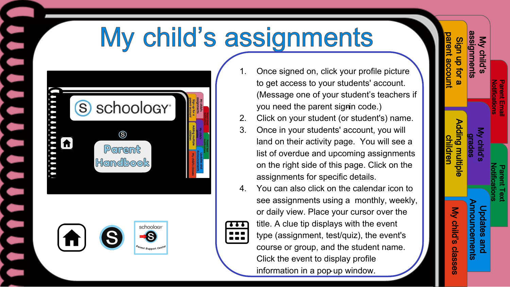# My child's assignments

<span id="page-5-0"></span>





- Once signed on, click your profile picture to get access to your students' account. (Message one of your student's teachers if you need the parent signin code.)
- 2. Click on your student (or student's) name.
- 3. Once in your students' account, you will land on their activity page. You will see a list of overdue and upcoming assignments on the right side of this page. Click on the assignments for specific details.
- 4. You can also click on the calendar icon to see assignments using a monthly, weekly, or daily view. Place your cursor over the title. A clue tip displays with the event type (assignment, test/quiz), the event's course or group, and the student name. Click the event to display profile information in a pop-up window.

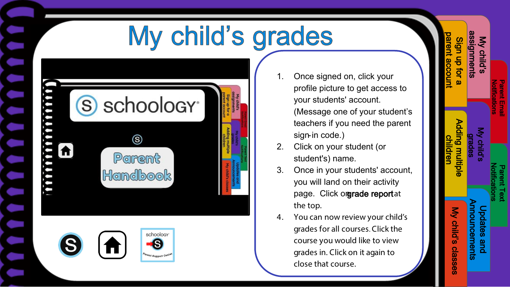## My child's grades

<span id="page-6-0"></span>

| $\left($ S | schoology <sup>®</sup>    | assignments<br><b>Grent account</b><br>My child's<br>Sign up for a                                                                                           |
|------------|---------------------------|--------------------------------------------------------------------------------------------------------------------------------------------------------------|
|            | Parent<br><b>Handbook</b> | Adding multiple<br>in the case of the case of the case of the case of the case of the case of the case of the case of the case of<br>My child's classes<br>Ę |



Once signed on, click your profile picture to get access to your students' account. (Message one of your student's teachers if you need the parent sign-in code.)

Sign up for a [parent account](#page-2-0)

My child's [assignments](#page-5-0)

**ssignments** Sign up for

> Notifications [Parent Email](#page-8-0)

ent Ernai 블

[Notifications](#page-9-0) Parent Text

[My child's](#page-6-0) age<br>ade

[Adding multiple](#page-3-0)  children

Adding multiple

[My child's classes](#page-4-0)

My child's classes

[Updates and](#page-7-0)  Announcements

and

pdates

nouncements

- 2. Click on your student (or student's) name.
- 3. Once in your students' account, you will land on their activity page. Click orgrade reportat the top.
- 4. You can now review your child's grades for all courses. Click the course you would like to view grades in. Click on it again to close that course.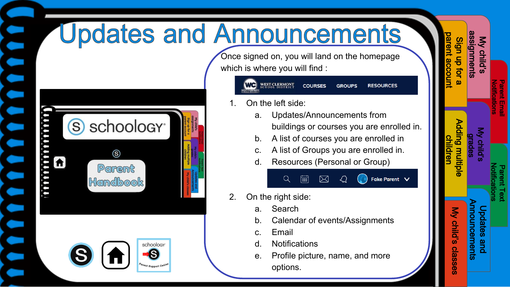## <span id="page-7-0"></span>**Updates and Announcements**



Once signed on, you will land on the homepage which is where you will find :

| WEST CLERMONT<br>WESTCLERMONT | COURSES GROUPS |  | <b>RESOURCES</b> |
|-------------------------------|----------------|--|------------------|
|-------------------------------|----------------|--|------------------|

- On the left side:
	- a. Updates/Announcements from buildings or courses you are enrolled in.

Fake Parent  $\vee$ 

- b. A list of courses you are enrolled in
- c. A list of Groups you are enrolled in.
- d. Resources (Personal or Group)

⊠



- a. Search
- b. Calendar of events/Assignments
- c. Email
- d. Notifications

 $\alpha$ 

 $\overline{\mathsf{ess}}$ 

e. Profile picture, name, and more options.

| parent accoun<br>Sign up for a | assignments<br>My child's                  |                                            |
|--------------------------------|--------------------------------------------|--------------------------------------------|
|                                |                                            | <b>Notifications</b><br><b>Parent Emal</b> |
| Adding multiple<br>children    | My child's<br>drades                       |                                            |
|                                |                                            | <b>Notifications</b><br><b>Parent Text</b> |
|                                | <b>Announcements</b><br><b>Updates and</b> |                                            |
| My child's classes             |                                            |                                            |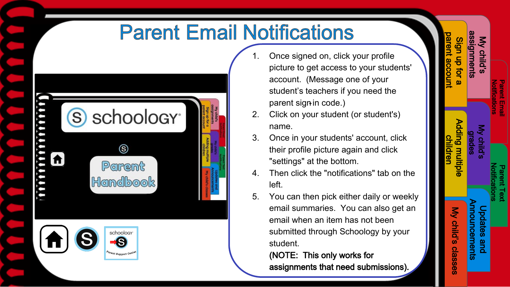#### **Parent Email Notifications**

<span id="page-8-0"></span>

| S)               | schoology <sup>®</sup>                          | assignments<br>Sign up for a<br>My child's<br>arent account                     |
|------------------|-------------------------------------------------|---------------------------------------------------------------------------------|
| ,,,,,,,,,,,,,,,, | Parent<br>Handbook                              | Adding multiple<br>children<br>My child's classes<br>nouncements<br>postres and |
| A<br>S           | schoology <sup>®</sup><br>Parent Support Center |                                                                                 |

Once signed on, click your profile picture to get access to your students' account. (Message one of your student's teachers if you need the parent sign-in code.)

Sign up for a [parent account](#page-2-0)

Sign up for **gnments** 

My child's [assignments](#page-5-0)

> Notifications [Parent Email](#page-8-0)

ent Emai

[Notifications](#page-9-0) Parent Text

[My child's](#page-6-0) grades

[Adding multiple](#page-3-0)  children

**Ading multiple** 

[My child's classes](#page-4-0)

My child's classes

[Updates and](#page-7-0)  Announcements

and

pdates

nouncements

- 2. Click on your student (or student's) name.
- 3. Once in your students' account, click their profile picture again and click "settings" at the bottom.
- 4. Then click the "notifications" tab on the left.
- 5. You can then pick either daily or weekly email summaries. You can also get an email when an item has not been submitted through Schoology by your student.

(NOTE: This only works for assignments that need submissions).